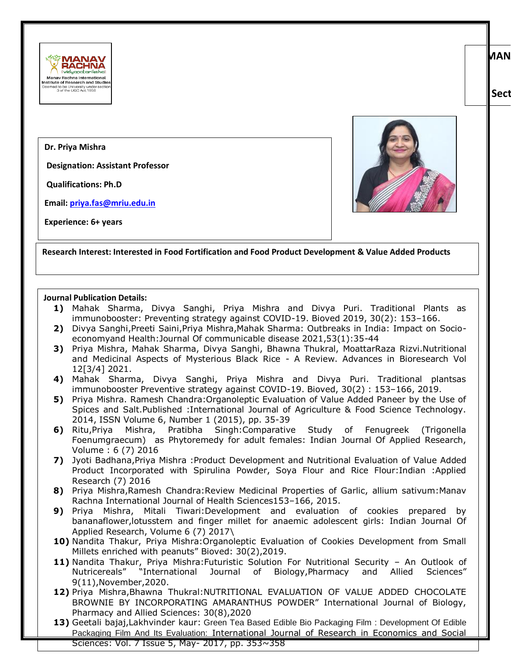

## **Dr. Priya Mishra**

**Designation: Assistant Professor** 

**Qualifications: Ph.D**

**Email: [priya.fas@mriu.edu.in](mailto:priya.fas@mriu.edu.in)**

**Experience: 6+ years**



**Research Interest: Interested in Food Fortification and Food Product Development & Value Added Products**

## **Journal Publication Details:**

- **1)** Mahak Sharma, Divya Sanghi, Priya Mishra and Divya Puri. Traditional Plants as immunobooster: Preventing strategy against COVID-19. Bioved 2019, 30(2): 153–166.
- **2)** Divya Sanghi,Preeti Saini,Priya Mishra,Mahak Sharma: Outbreaks in India: Impact on Socioeconomyand Health:Journal Of communicable disease 2021,53(1):35-44
- **3)** Priya Mishra, Mahak Sharma, Divya Sanghi, Bhawna Thukral, MoattarRaza Rizvi.Nutritional and Medicinal Aspects of Mysterious Black Rice - A Review. Advances in Bioresearch Vol 12[3/4] 2021.
- **4)** Mahak Sharma, Divya Sanghi, Priya Mishra and Divya Puri. Traditional plantsas immunobooster Preventive strategy against COVID-19. Bioved, 30(2) : 153–166, 2019.
- **5)** Priya Mishra. Ramesh Chandra:Organoleptic Evaluation of Value Added Paneer by the Use of Spices and Salt.Published :International Journal of Agriculture & Food Science Technology. 2014, ISSN Volume 6, Number 1 (2015), pp. 35-39
- **6)** Ritu,Priya Mishra, Pratibha Singh:Comparative Study of Fenugreek (Trigonella Foenumgraecum) as Phytoremedy for adult females: Indian Journal Of Applied Research, Volume : 6 (7) 2016
- **7)** Jyoti Badhana,Priya Mishra :Product Development and Nutritional Evaluation of Value Added Product Incorporated with Spirulina Powder, Soya Flour and Rice Flour:Indian :Applied Research (7) 2016
- **8)** Priya Mishra,Ramesh Chandra:Review Medicinal Properties of Garlic, allium sativum:Manav Rachna International Journal of Health Sciences153–166, 2015.
- **9)** Priya Mishra, Mitali Tiwari:Development and evaluation of cookies prepared by bananaflower,lotusstem and finger millet for anaemic adolescent girls: Indian Journal Of Applied Research, Volume 6 (7) 2017\
- **10)** Nandita Thakur, Priya Mishra:Organoleptic Evaluation of Cookies Development from Small Millets enriched with peanuts" Bioved: 30(2),2019.
- **11)** Nandita Thakur, Priya Mishra:Futuristic Solution For Nutritional Security An Outlook of Nutricereals" "International Journal of Biology,Pharmacy and Allied Sciences" 9(11),November,2020.
- **12)** Priya Mishra,Bhawna Thukral:NUTRITIONAL EVALUATION OF VALUE ADDED CHOCOLATE BROWNIE BY INCORPORATING AMARANTHUS POWDER" International Journal of Biology, Pharmacy and Allied Sciences: 30(8),2020
- **13)** Geetali bajaj,Lakhvinder kaur: Green Tea Based Edible Bio Packaging Film : Development Of Edible Packaging Film And Its Evaluation: International Journal of Research in Economics and Social Sciences: Vol. 7 Issue 5, May- 2017, pp. 353~358

**MAN** 

**Sector 43, Aravalli Hills, Manav Rachna Campus Rd, Faridabad,**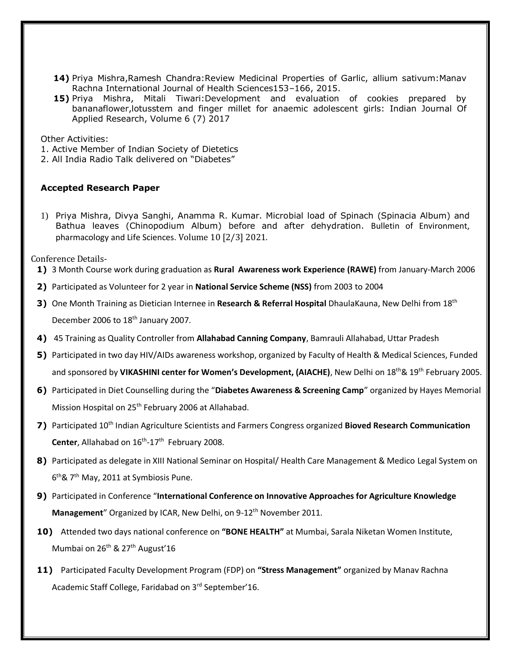- 14) Priya Mishra, Ramesh Chandra: Review Medicinal Properties of Garlic, allium sativum: Manav Rachna International Journal of Health Sciences153–166, 2015.
- **15)** Priya Mishra, Mitali Tiwari:Development and evaluation of cookies prepared by bananaflower,lotusstem and finger millet for anaemic adolescent girls: Indian Journal Of Applied Research, Volume 6 (7) 2017

Other Activities:

1. Active Member of Indian Society of Dietetics

2. All India Radio Talk delivered on "Diabetes"

## **Accepted Research Paper**

1) Priya Mishra, Divya Sanghi, Anamma R. Kumar. Microbial load of Spinach (Spinacia Album) and Bathua leaves (Chinopodium Album) before and after dehydration. Bulletin of Environment, pharmacology and Life Sciences. Volume 10 [2/3] 2021.

Conference Details-

- **1)** 3 Month Course work during graduation as **Rural Awareness work Experience (RAWE)** from January-March 2006
- **2)** Participated as Volunteer for 2 year in **National Service Scheme (NSS)** from 2003 to 2004
- **3)** One Month Training as Dietician Internee in Research & Referral Hospital DhaulaKauna, New Delhi from 18<sup>th</sup> December 2006 to 18<sup>th</sup> January 2007.
- **4)** 45 Training as Quality Controller from **Allahabad Canning Company**, Bamrauli Allahabad, Uttar Pradesh
- **5)** Participated in two day HIV/AIDs awareness workshop, organized by Faculty of Health & Medical Sciences, Funded and sponsored by VIKASHINI center for Women's Development, (AIACHE), New Delhi on 18<sup>th</sup> & 19<sup>th</sup> February 2005.
- **6)** Participated in Diet Counselling during the "**Diabetes Awareness & Screening Camp**" organized by Hayes Memorial Mission Hospital on 25<sup>th</sup> February 2006 at Allahabad.
- **7)** Participated 10th Indian Agriculture Scientists and Farmers Congress organized **Bioved Research Communication**  Center, Allahabad on 16<sup>th</sup>-17<sup>th</sup> February 2008.
- **8)** Participated as delegate in XIII National Seminar on Hospital/ Health Care Management & Medico Legal System on 6<sup>th</sup>& 7<sup>th</sup> May, 2011 at Symbiosis Pune.
- **9)** Participated in Conference "**International Conference on Innovative Approaches for Agriculture Knowledge Management**" Organized by ICAR, New Delhi, on 9-12<sup>th</sup> November 2011.
- **10)** Attended two days national conference on **"BONE HEALTH"** at Mumbai, Sarala Niketan Women Institute, Mumbai on 26<sup>th</sup> & 27<sup>th</sup> August'16
- **11)** Participated Faculty Development Program (FDP) on **"Stress Management"** organized by Manav Rachna Academic Staff College, Faridabad on 3rd September'16.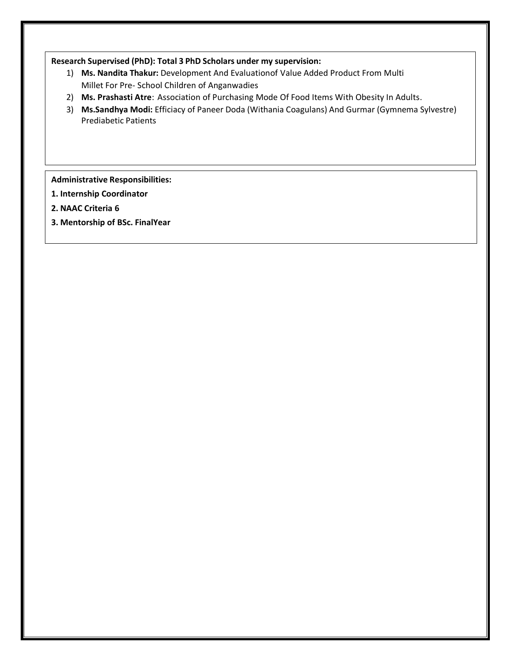## **Research Supervised (PhD): Total 3 PhD Scholars under my supervision:**

- 1) **Ms. Nandita Thakur:** Development And Evaluationof Value Added Product From Multi Millet For Pre- School Children of Anganwadies
- 2) **Ms. Prashasti Atre**: Association of Purchasing Mode Of Food Items With Obesity In Adults.
- 3) **Ms.Sandhya Modi:** Efficiacy of Paneer Doda (Withania Coagulans) And Gurmar (Gymnema Sylvestre) Prediabetic Patients

**Administrative Responsibilities:**

- **1. Internship Coordinator**
- **2. NAAC Criteria 6**
- **3. Mentorship of BSc. FinalYear**